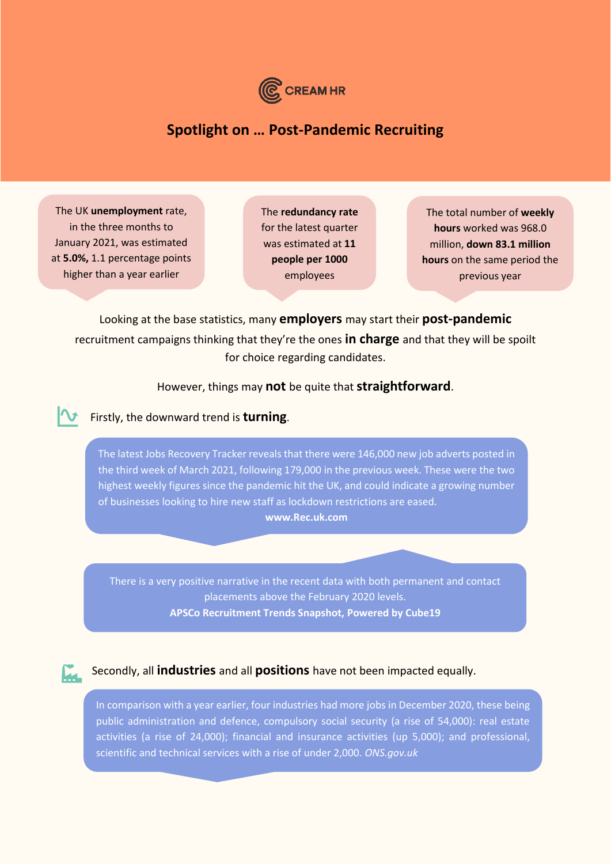

# **Spotlight on … Post-Pandemic Recruiting**

The UK **unemployment** rate, in the three months to January 2021, was estimated at **5.0%,** 1.1 percentage points higher than a year earlier

The **redundancy rate** for the latest quarter was estimated at **11 people per 1000** employees

The total number of **weekly hours** worked was 968.0 million, **down 83.1 million hours** on the same period the previous year

Looking at the base statistics, many **employers** may start their **post-pandemic** recruitment campaigns thinking that they're the ones **in charge** and that they will be spoilt for choice regarding candidates.

#### However, things may **not** be quite that **straightforward**.

#### Firstly, the downward trend is **turning**.

The latest Jobs Recovery Tracker reveals that there were 146,000 new job adverts posted in the third week of March 2021, following 179,000 in the previous week. These were the two highest weekly figures since the pandemic hit the UK, and could indicate a growing number of businesses looking to hire new staff as lockdown restrictions are eased. **www.Rec.uk.com**

There is a very positive narrative in the recent data with both permanent and contact placements above the February 2020 levels. **APSCo Recruitment Trends Snapshot, Powered by Cube19**



#### Secondly, all **industries** and all **positions** have not been impacted equally.

In comparison with a year earlier, four industries had more jobs in December 2020, these being public administration and defence, compulsory social security (a rise of 54,000): real estate activities (a rise of 24,000); financial and insurance activities (up 5,000); and professional, scientific and technical services with a rise of under 2,000. *ONS.gov.uk*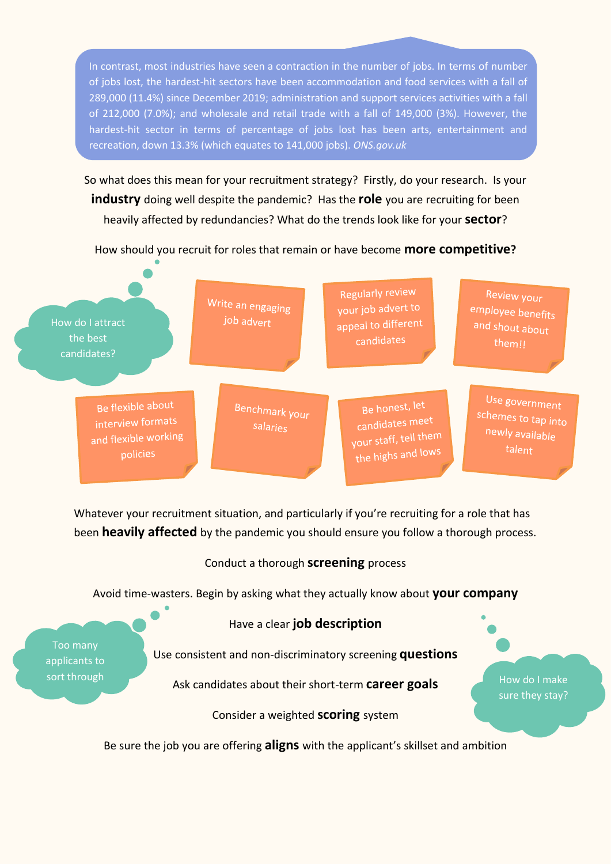In contrast, most industries have seen a contraction in the number of jobs. In terms of number of jobs lost, the hardest-hit sectors have been accommodation and food services with a fall of 289,000 (11.4%) since December 2019; administration and support services activities with a fall of 212,000 (7.0%); and wholesale and retail trade with a fall of 149,000 (3%). However, the hardest-hit sector in terms of percentage of jobs lost has been arts, entertainment and recreation, down 13.3% (which equates to 141,000 jobs). *ONS.gov.uk*

So what does this mean for your recruitment strategy? Firstly, do your research. Is your **industry** doing well despite the pandemic? Has the **role** you are recruiting for been heavily affected by redundancies? What do the trends look like for your **sector**?

How should you recruit for roles that remain or have become **more competitive?**



Whatever your recruitment situation, and particularly if you're recruiting for a role that has been **heavily affected** by the pandemic you should ensure you follow a thorough process.

### Conduct a thorough **screening** process

Avoid time-wasters. Begin by asking what they actually know about **your company**

Have a clear **job description**

Too many applicants to

Use consistent and non-discriminatory screening **questions**

sort through **Ask candidates about their short-term career goals** How do I make

sure they stay?

Consider a weighted **scoring** system

Be sure the job you are offering **aligns** with the applicant's skillset and ambition